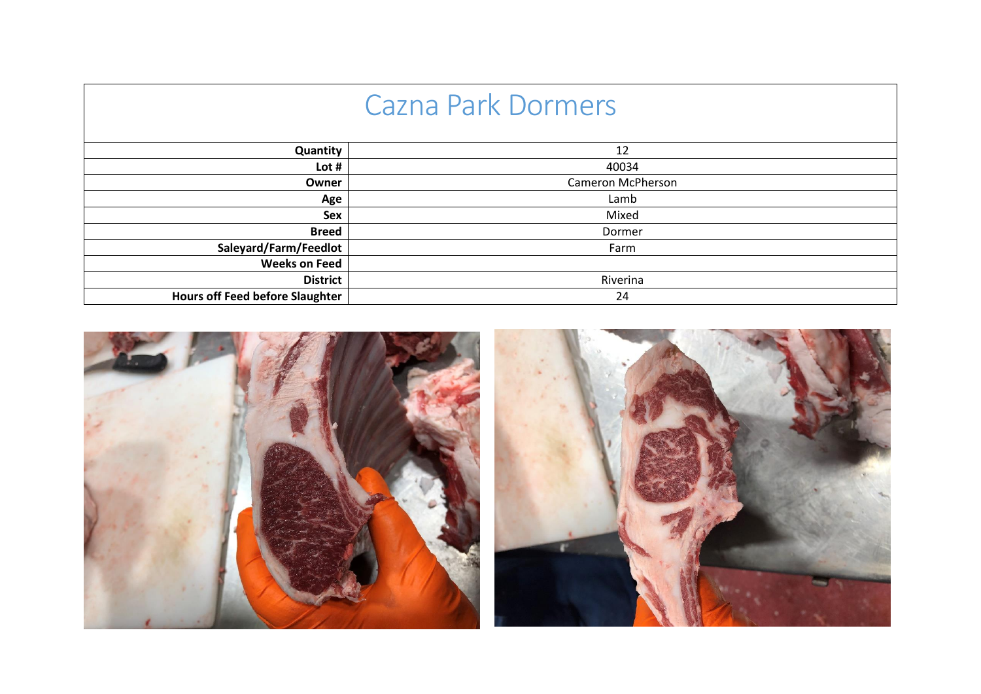| <b>Cazna Park Dormers</b>              |                   |  |  |  |  |
|----------------------------------------|-------------------|--|--|--|--|
| Quantity                               | 12                |  |  |  |  |
| Lot#                                   | 40034             |  |  |  |  |
| Owner                                  | Cameron McPherson |  |  |  |  |
| Age                                    | Lamb              |  |  |  |  |
| <b>Sex</b>                             | Mixed             |  |  |  |  |
| <b>Breed</b>                           | Dormer            |  |  |  |  |
| Saleyard/Farm/Feedlot                  | Farm              |  |  |  |  |
| <b>Weeks on Feed</b>                   |                   |  |  |  |  |
| <b>District</b>                        | Riverina          |  |  |  |  |
| <b>Hours off Feed before Slaughter</b> | 24                |  |  |  |  |

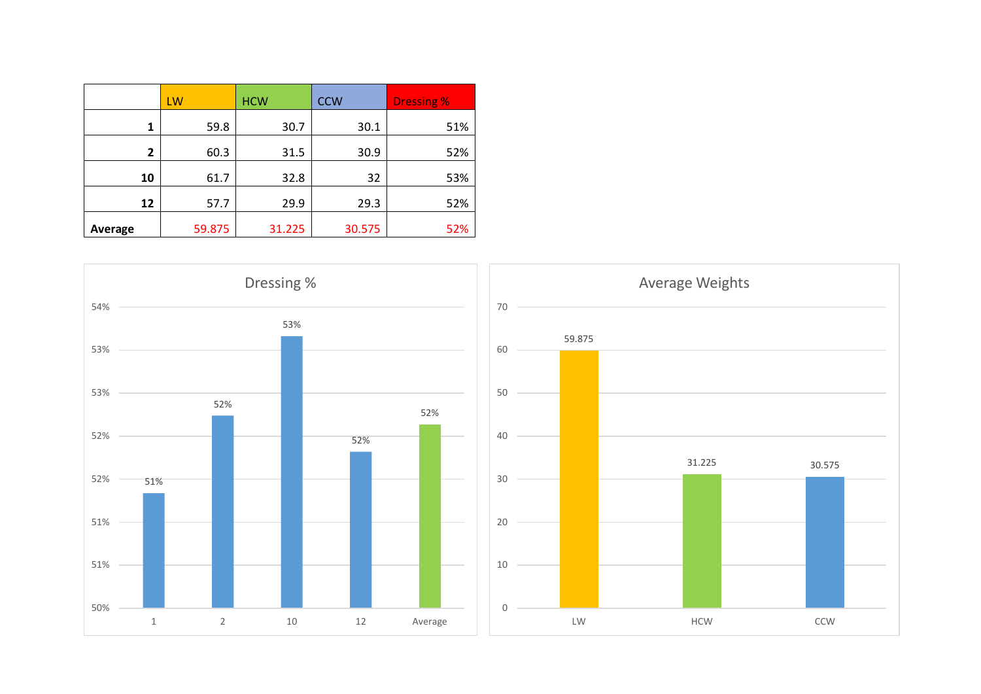|         | LW     | <b>HCW</b> | <b>CCW</b> | <b>Dressing %</b> |
|---------|--------|------------|------------|-------------------|
| 1       | 59.8   | 30.7       | 30.1       | 51%               |
| 2       | 60.3   | 31.5       | 30.9       | 52%               |
| 10      | 61.7   | 32.8       | 32         | 53%               |
| 12      | 57.7   | 29.9       | 29.3       | 52%               |
| Average | 59.875 | 31.225     | 30.575     | 52%               |